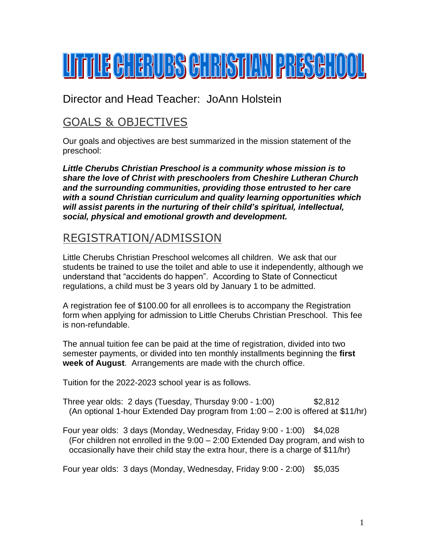# <u>Urril : Cherubs Christian Preschool</u>

Director and Head Teacher: JoAnn Holstein

# GOALS & OBJECTIVES

Our goals and objectives are best summarized in the mission statement of the preschool:

*Little Cherubs Christian Preschool is a community whose mission is to share the love of Christ with preschoolers from Cheshire Lutheran Church and the surrounding communities, providing those entrusted to her care with a sound Christian curriculum and quality learning opportunities which will assist parents in the nurturing of their child's spiritual, intellectual, social, physical and emotional growth and development.*

## REGISTRATION/ADMISSION

Little Cherubs Christian Preschool welcomes all children. We ask that our students be trained to use the toilet and able to use it independently, although we understand that "accidents do happen". According to State of Connecticut regulations, a child must be 3 years old by January 1 to be admitted.

A registration fee of \$100.00 for all enrollees is to accompany the Registration form when applying for admission to Little Cherubs Christian Preschool. This fee is non-refundable.

The annual tuition fee can be paid at the time of registration, divided into two semester payments, or divided into ten monthly installments beginning the **first week of August**. Arrangements are made with the church office.

Tuition for the 2022-2023 school year is as follows.

Three year olds: 2 days (Tuesday, Thursday 9:00 - 1:00) \$2,812 (An optional 1-hour Extended Day program from 1:00 – 2:00 is offered at \$11/hr)

Four year olds: 3 days (Monday, Wednesday, Friday 9:00 - 1:00) \$4,028 (For children not enrolled in the 9:00 – 2:00 Extended Day program, and wish to occasionally have their child stay the extra hour, there is a charge of \$11/hr)

Four year olds: 3 days (Monday, Wednesday, Friday 9:00 - 2:00) \$5,035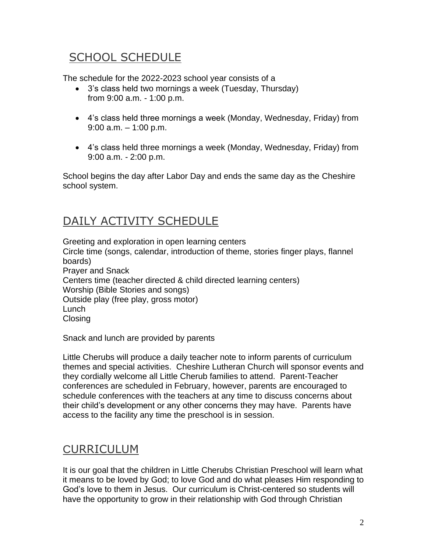# SCHOOL SCHEDULE

The schedule for the 2022-2023 school year consists of a

- 3's class held two mornings a week (Tuesday, Thursday) from 9:00 a.m. - 1:00 p.m.
- 4's class held three mornings a week (Monday, Wednesday, Friday) from 9:00 a.m. – 1:00 p.m.
- 4's class held three mornings a week (Monday, Wednesday, Friday) from 9:00 a.m. - 2:00 p.m.

School begins the day after Labor Day and ends the same day as the Cheshire school system.

# DAILY ACTIVITY SCHEDULE

Greeting and exploration in open learning centers Circle time (songs, calendar, introduction of theme, stories finger plays, flannel boards) Prayer and Snack Centers time (teacher directed & child directed learning centers) Worship (Bible Stories and songs) Outside play (free play, gross motor) Lunch **Closing** 

Snack and lunch are provided by parents

Little Cherubs will produce a daily teacher note to inform parents of curriculum themes and special activities. Cheshire Lutheran Church will sponsor events and they cordially welcome all Little Cherub families to attend. Parent-Teacher conferences are scheduled in February, however, parents are encouraged to schedule conferences with the teachers at any time to discuss concerns about their child's development or any other concerns they may have. Parents have access to the facility any time the preschool is in session.

#### **CURRICULUM**

It is our goal that the children in Little Cherubs Christian Preschool will learn what it means to be loved by God; to love God and do what pleases Him responding to God's love to them in Jesus. Our curriculum is Christ-centered so students will have the opportunity to grow in their relationship with God through Christian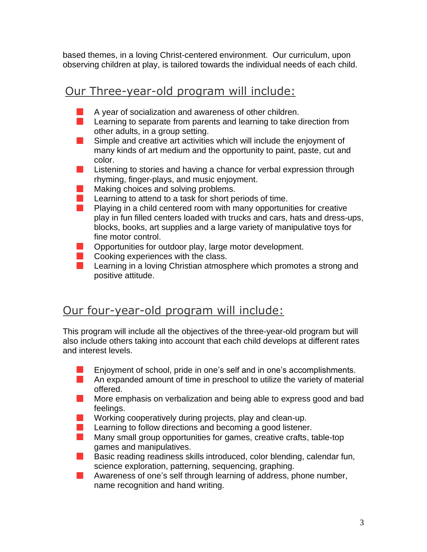based themes, in a loving Christ-centered environment. Our curriculum, upon observing children at play, is tailored towards the individual needs of each child.

#### Our Three-year-old program will include:

- A year of socialization and awareness of other children.
- **Learning to separate from parents and learning to take direction from** other adults, in a group setting.
- **Simple and creative art activities which will include the enjoyment of** many kinds of art medium and the opportunity to paint, paste, cut and color.
- **College** Listening to stories and having a chance for verbal expression through rhyming, finger-plays, and music enjoyment.
- **The Second** Making choices and solving problems.
- $\mathcal{L}(\mathcal{A})$ Learning to attend to a task for short periods of time.
- **Playing in a child centered room with many opportunities for creative** play in fun filled centers loaded with trucks and cars, hats and dress-ups, blocks, books, art supplies and a large variety of manipulative toys for fine motor control.
- **Opportunities for outdoor play, large motor development.**
- **Cooking experiences with the class.**
- **Learning in a loving Christian atmosphere which promotes a strong and** positive attitude.

#### Our four-year-old program will include:

This program will include all the objectives of the three-year-old program but will also include others taking into account that each child develops at different rates and interest levels.

- Enjoyment of school, pride in one's self and in one's accomplishments.
- **An expanded amount of time in preschool to utilize the variety of material** offered.
- **More emphasis on verbalization and being able to express good and bad** feelings.
- $\mathbb{R}^n$ Working cooperatively during projects, play and clean-up.
- $\mathcal{L}_{\mathcal{A}}$ Learning to follow directions and becoming a good listener.
- **Many small group opportunities for games, creative crafts, table-top** games and manipulatives.
- **Basic reading readiness skills introduced, color blending, calendar fun,** science exploration, patterning, sequencing, graphing.
- $\blacksquare$  Awareness of one's self through learning of address, phone number, name recognition and hand writing.